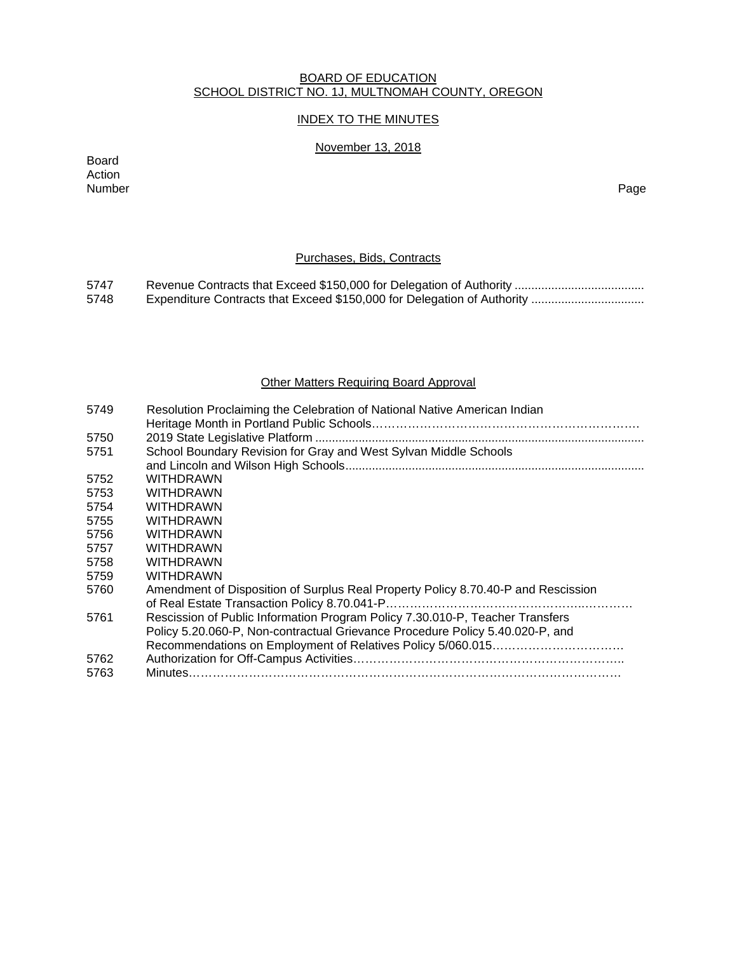### BOARD OF EDUCATION SCHOOL DISTRICT NO. 1J, MULTNOMAH COUNTY, OREGON

# INDEX TO THE MINUTES

# November 13, 2018

Board Action Number Page

# Purchases, Bids, Contracts

5747 Revenue Contracts that Exceed \$150,000 for Delegation of Authority ....................................... 5748 Expenditure Contracts that Exceed \$150,000 for Delegation of Authority .................................

### Other Matters Requiring Board Approval

| 5749 | Resolution Proclaiming the Celebration of National Native American Indian         |
|------|-----------------------------------------------------------------------------------|
| 5750 |                                                                                   |
| 5751 | School Boundary Revision for Gray and West Sylvan Middle Schools                  |
|      |                                                                                   |
| 5752 | <b>WITHDRAWN</b>                                                                  |
| 5753 | <b>WITHDRAWN</b>                                                                  |
| 5754 | <b>WITHDRAWN</b>                                                                  |
| 5755 | <b>WITHDRAWN</b>                                                                  |
| 5756 | <b>WITHDRAWN</b>                                                                  |
| 5757 | <b>WITHDRAWN</b>                                                                  |
| 5758 | <b>WITHDRAWN</b>                                                                  |
| 5759 | <b>WITHDRAWN</b>                                                                  |
| 5760 | Amendment of Disposition of Surplus Real Property Policy 8.70.40-P and Rescission |
|      |                                                                                   |
| 5761 | Rescission of Public Information Program Policy 7.30.010-P, Teacher Transfers     |
|      | Policy 5.20.060-P, Non-contractual Grievance Procedure Policy 5.40.020-P, and     |
|      |                                                                                   |
| 5762 |                                                                                   |
| 5763 |                                                                                   |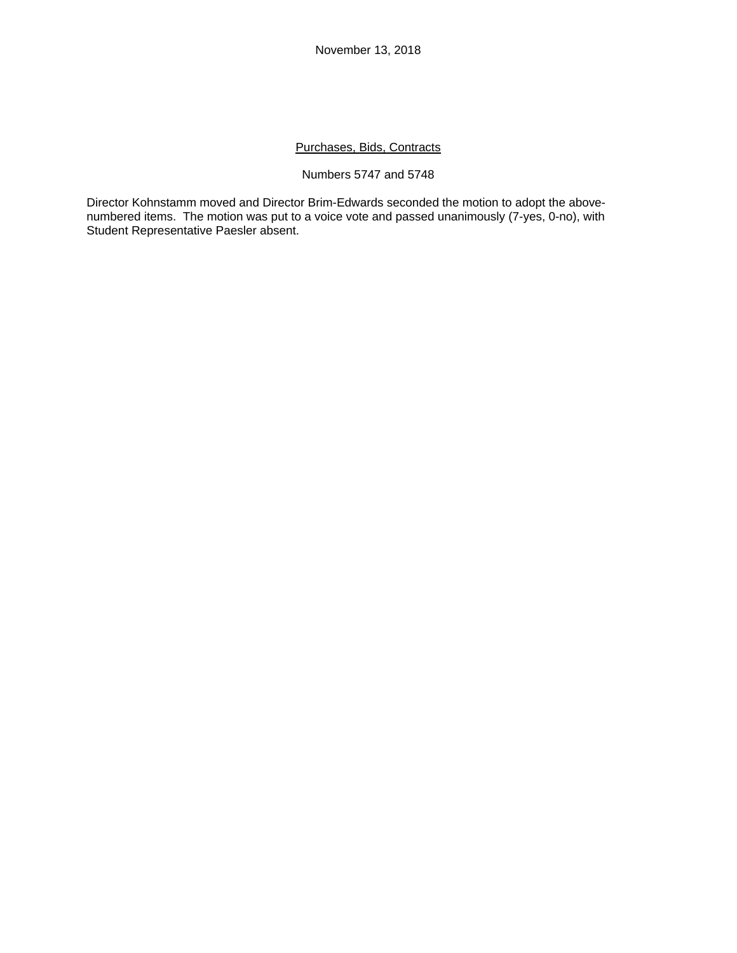# Purchases, Bids, Contracts

### Numbers 5747 and 5748

Director Kohnstamm moved and Director Brim-Edwards seconded the motion to adopt the abovenumbered items. The motion was put to a voice vote and passed unanimously (7-yes, 0-no), with Student Representative Paesler absent.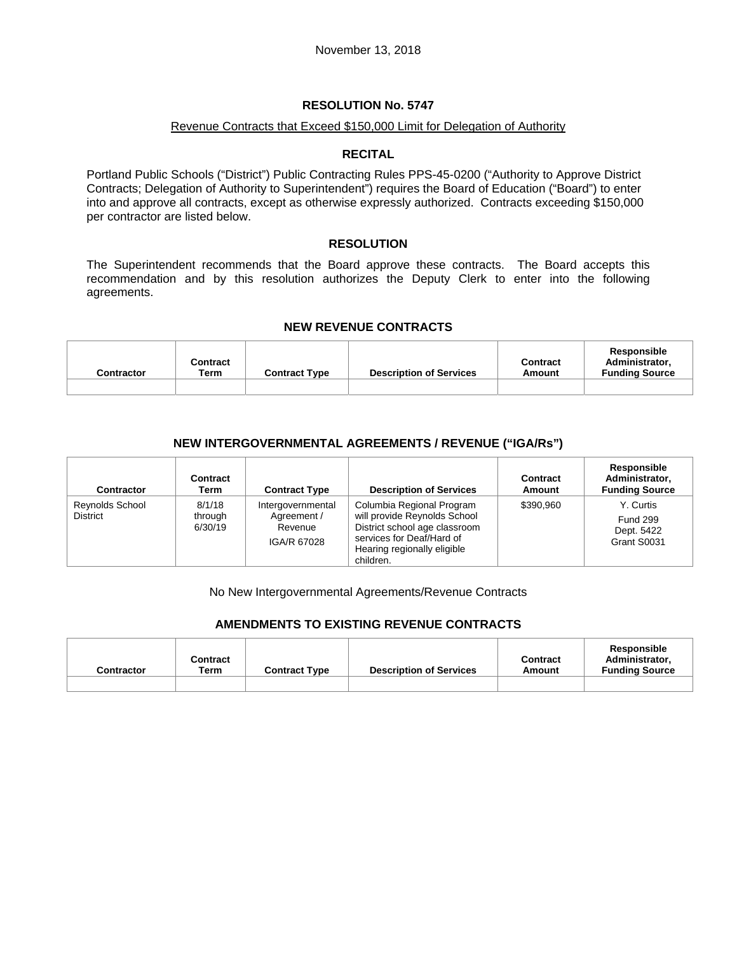### Revenue Contracts that Exceed \$150,000 Limit for Delegation of Authority

### **RECITAL**

Portland Public Schools ("District") Public Contracting Rules PPS-45-0200 ("Authority to Approve District Contracts; Delegation of Authority to Superintendent") requires the Board of Education ("Board") to enter into and approve all contracts, except as otherwise expressly authorized. Contracts exceeding \$150,000 per contractor are listed below.

### **RESOLUTION**

The Superintendent recommends that the Board approve these contracts. The Board accepts this recommendation and by this resolution authorizes the Deputy Clerk to enter into the following agreements.

### **NEW REVENUE CONTRACTS**

| Contractor | Contract<br>Term | <b>Contract Type</b> | <b>Description of Services</b> | <b>Contract</b><br>Amount | Responsible<br>Administrator.<br><b>Funding Source</b> |
|------------|------------------|----------------------|--------------------------------|---------------------------|--------------------------------------------------------|
|            |                  |                      |                                |                           |                                                        |

# **NEW INTERGOVERNMENTAL AGREEMENTS / REVENUE ("IGA/Rs")**

| <b>Contractor</b>                         | Contract<br>Term             | <b>Contract Type</b>                                       | <b>Description of Services</b>                                                                                                                                      | Contract<br>Amount | Responsible<br>Administrator,<br><b>Funding Source</b>    |
|-------------------------------------------|------------------------------|------------------------------------------------------------|---------------------------------------------------------------------------------------------------------------------------------------------------------------------|--------------------|-----------------------------------------------------------|
| <b>Reynolds School</b><br><b>District</b> | 8/1/18<br>through<br>6/30/19 | Intergovernmental<br>Agreement /<br>Revenue<br>IGA/R 67028 | Columbia Regional Program<br>will provide Reynolds School<br>District school age classroom<br>services for Deaf/Hard of<br>Hearing regionally eligible<br>children. | \$390.960          | Y. Curtis<br><b>Fund 299</b><br>Dept. 5422<br>Grant S0031 |

No New Intergovernmental Agreements/Revenue Contracts

# **AMENDMENTS TO EXISTING REVENUE CONTRACTS**

| <b>Contractor</b> | Contract<br>Term | <b>Contract Type</b> | <b>Description of Services</b> | <b>Contract</b><br>Amount | Responsible<br>Administrator.<br><b>Funding Source</b> |
|-------------------|------------------|----------------------|--------------------------------|---------------------------|--------------------------------------------------------|
|                   |                  |                      |                                |                           |                                                        |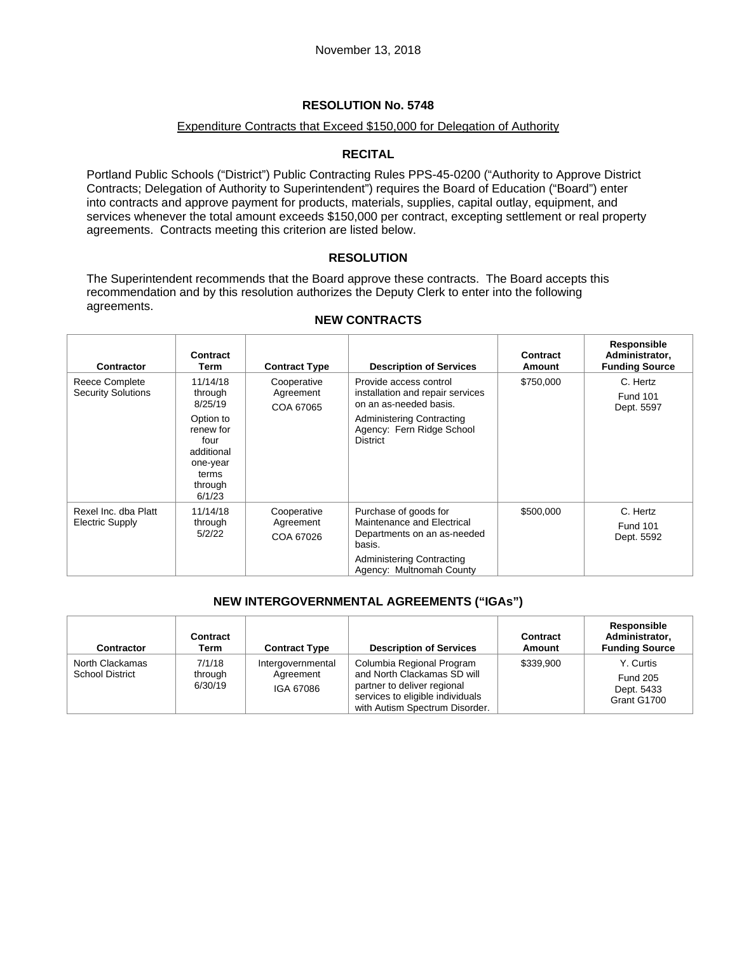### Expenditure Contracts that Exceed \$150,000 for Delegation of Authority

# **RECITAL**

Portland Public Schools ("District") Public Contracting Rules PPS-45-0200 ("Authority to Approve District Contracts; Delegation of Authority to Superintendent") requires the Board of Education ("Board") enter into contracts and approve payment for products, materials, supplies, capital outlay, equipment, and services whenever the total amount exceeds \$150,000 per contract, excepting settlement or real property agreements. Contracts meeting this criterion are listed below.

# **RESOLUTION**

The Superintendent recommends that the Board approve these contracts. The Board accepts this recommendation and by this resolution authorizes the Deputy Clerk to enter into the following agreements.

| Contractor                                  | Contract<br>Term                                                                                                         | <b>Contract Type</b>                  | <b>Description of Services</b>                                                                                                                                    | Contract<br>Amount | Responsible<br>Administrator,<br><b>Funding Source</b> |
|---------------------------------------------|--------------------------------------------------------------------------------------------------------------------------|---------------------------------------|-------------------------------------------------------------------------------------------------------------------------------------------------------------------|--------------------|--------------------------------------------------------|
| Reece Complete<br><b>Security Solutions</b> | 11/14/18<br>through<br>8/25/19<br>Option to<br>renew for<br>four<br>additional<br>one-year<br>terms<br>through<br>6/1/23 | Cooperative<br>Agreement<br>COA 67065 | Provide access control<br>installation and repair services<br>on an as-needed basis.<br>Administering Contracting<br>Agency: Fern Ridge School<br><b>District</b> | \$750,000          | C. Hertz<br><b>Fund 101</b><br>Dept. 5597              |
| Rexel Inc. dba Platt<br>Electric Supply     | 11/14/18<br>through<br>5/2/22                                                                                            | Cooperative<br>Agreement<br>COA 67026 | Purchase of goods for<br>Maintenance and Electrical<br>Departments on an as-needed<br>basis.<br><b>Administering Contracting</b><br>Agency: Multnomah County      | \$500,000          | C. Hertz<br><b>Fund 101</b><br>Dept. 5592              |

### **NEW CONTRACTS**

# **NEW INTERGOVERNMENTAL AGREEMENTS ("IGAs")**

| <b>Contractor</b>                         | Contract<br>Term             | <b>Contract Type</b>                        | <b>Description of Services</b>                                                                                                                                | Contract<br>Amount | <b>Responsible</b><br>Administrator,<br><b>Funding Source</b> |
|-------------------------------------------|------------------------------|---------------------------------------------|---------------------------------------------------------------------------------------------------------------------------------------------------------------|--------------------|---------------------------------------------------------------|
| North Clackamas<br><b>School District</b> | 7/1/18<br>through<br>6/30/19 | Intergovernmental<br>Agreement<br>IGA 67086 | Columbia Regional Program<br>and North Clackamas SD will<br>partner to deliver regional<br>services to eligible individuals<br>with Autism Spectrum Disorder. | \$339.900          | Y. Curtis<br><b>Fund 205</b><br>Dept. 5433<br>Grant G1700     |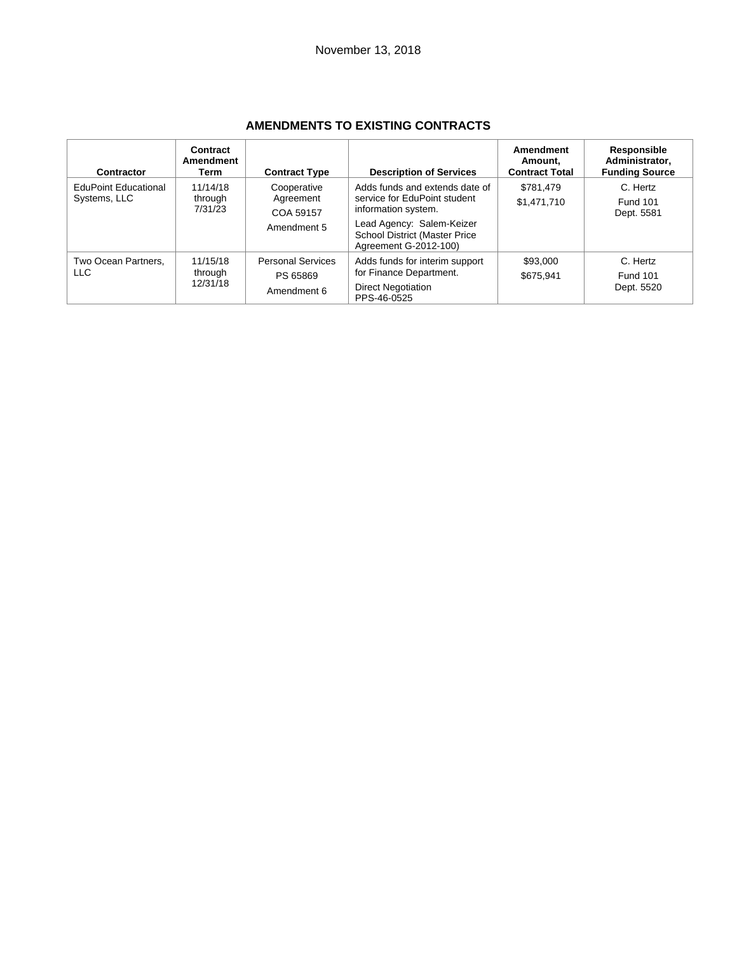| Contractor                                  | Contract<br><b>Amendment</b><br>Term | <b>Contract Type</b>                                 | <b>Description of Services</b>                                                                                                                                               | Amendment<br>Amount.<br><b>Contract Total</b> | Responsible<br>Administrator.<br><b>Funding Source</b> |
|---------------------------------------------|--------------------------------------|------------------------------------------------------|------------------------------------------------------------------------------------------------------------------------------------------------------------------------------|-----------------------------------------------|--------------------------------------------------------|
| <b>EduPoint Educational</b><br>Systems, LLC | 11/14/18<br>through<br>7/31/23       | Cooperative<br>Agreement<br>COA 59157<br>Amendment 5 | Adds funds and extends date of<br>service for EduPoint student<br>information system.<br>Lead Agency: Salem-Keizer<br>School District (Master Price<br>Agreement G-2012-100) | \$781.479<br>\$1,471,710                      | C. Hertz<br><b>Fund 101</b><br>Dept. 5581              |
| Two Ocean Partners.<br>LLC                  | 11/15/18<br>through<br>12/31/18      | <b>Personal Services</b><br>PS 65869<br>Amendment 6  | Adds funds for interim support<br>for Finance Department.<br><b>Direct Negotiation</b><br>PPS-46-0525                                                                        | \$93,000<br>\$675.941                         | C. Hertz<br><b>Fund 101</b><br>Dept. 5520              |

# **AMENDMENTS TO EXISTING CONTRACTS**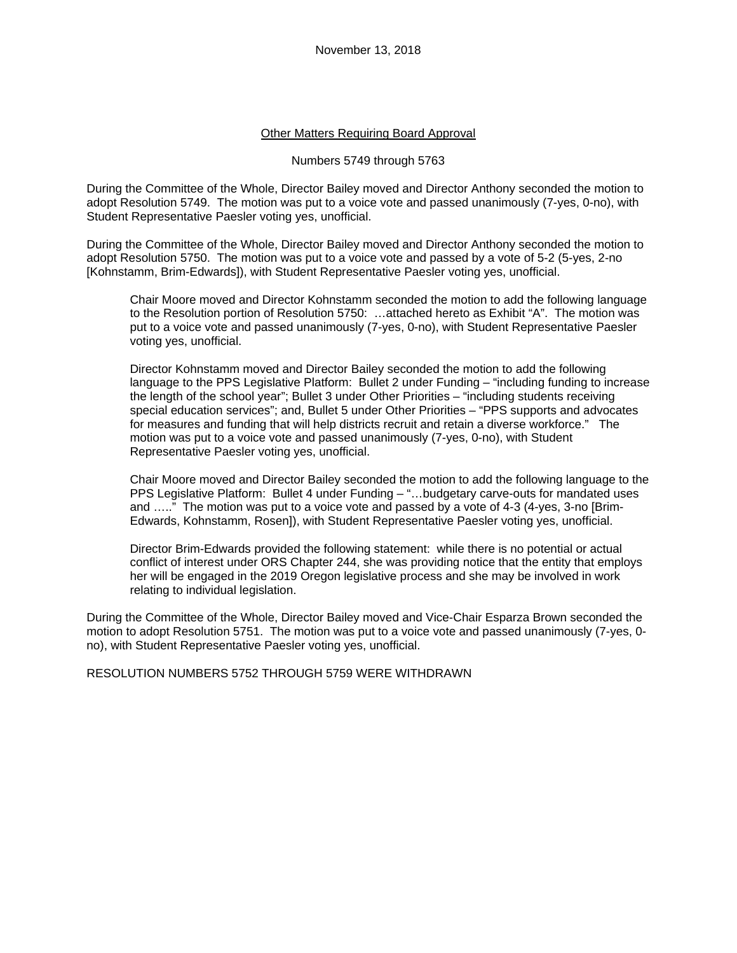### Other Matters Requiring Board Approval

#### Numbers 5749 through 5763

During the Committee of the Whole, Director Bailey moved and Director Anthony seconded the motion to adopt Resolution 5749. The motion was put to a voice vote and passed unanimously (7-yes, 0-no), with Student Representative Paesler voting yes, unofficial.

During the Committee of the Whole, Director Bailey moved and Director Anthony seconded the motion to adopt Resolution 5750. The motion was put to a voice vote and passed by a vote of 5-2 (5-yes, 2-no [Kohnstamm, Brim-Edwards]), with Student Representative Paesler voting yes, unofficial.

Chair Moore moved and Director Kohnstamm seconded the motion to add the following language to the Resolution portion of Resolution 5750: …attached hereto as Exhibit "A". The motion was put to a voice vote and passed unanimously (7-yes, 0-no), with Student Representative Paesler voting yes, unofficial.

Director Kohnstamm moved and Director Bailey seconded the motion to add the following language to the PPS Legislative Platform: Bullet 2 under Funding – "including funding to increase the length of the school year"; Bullet 3 under Other Priorities – "including students receiving special education services"; and, Bullet 5 under Other Priorities – "PPS supports and advocates for measures and funding that will help districts recruit and retain a diverse workforce." The motion was put to a voice vote and passed unanimously (7-yes, 0-no), with Student Representative Paesler voting yes, unofficial.

Chair Moore moved and Director Bailey seconded the motion to add the following language to the PPS Legislative Platform: Bullet 4 under Funding – "…budgetary carve-outs for mandated uses and ….." The motion was put to a voice vote and passed by a vote of 4-3 (4-yes, 3-no [Brim-Edwards, Kohnstamm, Rosen]), with Student Representative Paesler voting yes, unofficial.

Director Brim-Edwards provided the following statement: while there is no potential or actual conflict of interest under ORS Chapter 244, she was providing notice that the entity that employs her will be engaged in the 2019 Oregon legislative process and she may be involved in work relating to individual legislation.

During the Committee of the Whole, Director Bailey moved and Vice-Chair Esparza Brown seconded the motion to adopt Resolution 5751. The motion was put to a voice vote and passed unanimously (7-yes, 0 no), with Student Representative Paesler voting yes, unofficial.

RESOLUTION NUMBERS 5752 THROUGH 5759 WERE WITHDRAWN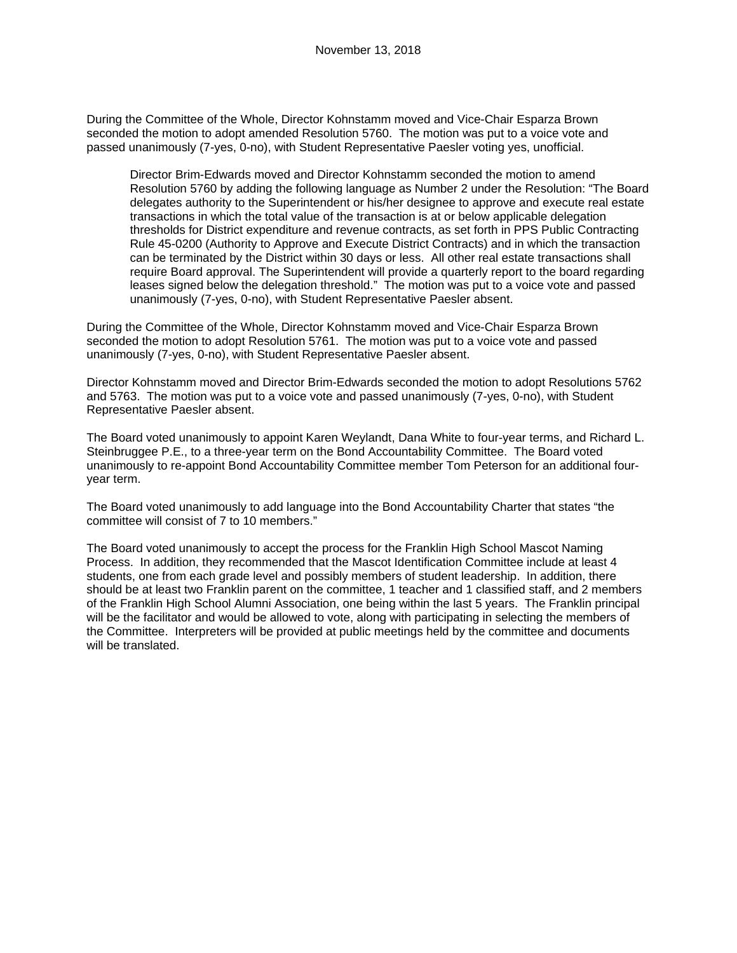During the Committee of the Whole, Director Kohnstamm moved and Vice-Chair Esparza Brown seconded the motion to adopt amended Resolution 5760. The motion was put to a voice vote and passed unanimously (7-yes, 0-no), with Student Representative Paesler voting yes, unofficial.

Director Brim-Edwards moved and Director Kohnstamm seconded the motion to amend Resolution 5760 by adding the following language as Number 2 under the Resolution: "The Board delegates authority to the Superintendent or his/her designee to approve and execute real estate transactions in which the total value of the transaction is at or below applicable delegation thresholds for District expenditure and revenue contracts, as set forth in PPS Public Contracting Rule 45-0200 (Authority to Approve and Execute District Contracts) and in which the transaction can be terminated by the District within 30 days or less. All other real estate transactions shall require Board approval. The Superintendent will provide a quarterly report to the board regarding leases signed below the delegation threshold." The motion was put to a voice vote and passed unanimously (7-yes, 0-no), with Student Representative Paesler absent.

During the Committee of the Whole, Director Kohnstamm moved and Vice-Chair Esparza Brown seconded the motion to adopt Resolution 5761. The motion was put to a voice vote and passed unanimously (7-yes, 0-no), with Student Representative Paesler absent.

Director Kohnstamm moved and Director Brim-Edwards seconded the motion to adopt Resolutions 5762 and 5763. The motion was put to a voice vote and passed unanimously (7-yes, 0-no), with Student Representative Paesler absent.

The Board voted unanimously to appoint Karen Weylandt, Dana White to four-year terms, and Richard L. Steinbruggee P.E., to a three-year term on the Bond Accountability Committee. The Board voted unanimously to re-appoint Bond Accountability Committee member Tom Peterson for an additional fouryear term.

The Board voted unanimously to add language into the Bond Accountability Charter that states "the committee will consist of 7 to 10 members."

The Board voted unanimously to accept the process for the Franklin High School Mascot Naming Process. In addition, they recommended that the Mascot Identification Committee include at least 4 students, one from each grade level and possibly members of student leadership. In addition, there should be at least two Franklin parent on the committee, 1 teacher and 1 classified staff, and 2 members of the Franklin High School Alumni Association, one being within the last 5 years. The Franklin principal will be the facilitator and would be allowed to vote, along with participating in selecting the members of the Committee. Interpreters will be provided at public meetings held by the committee and documents will be translated.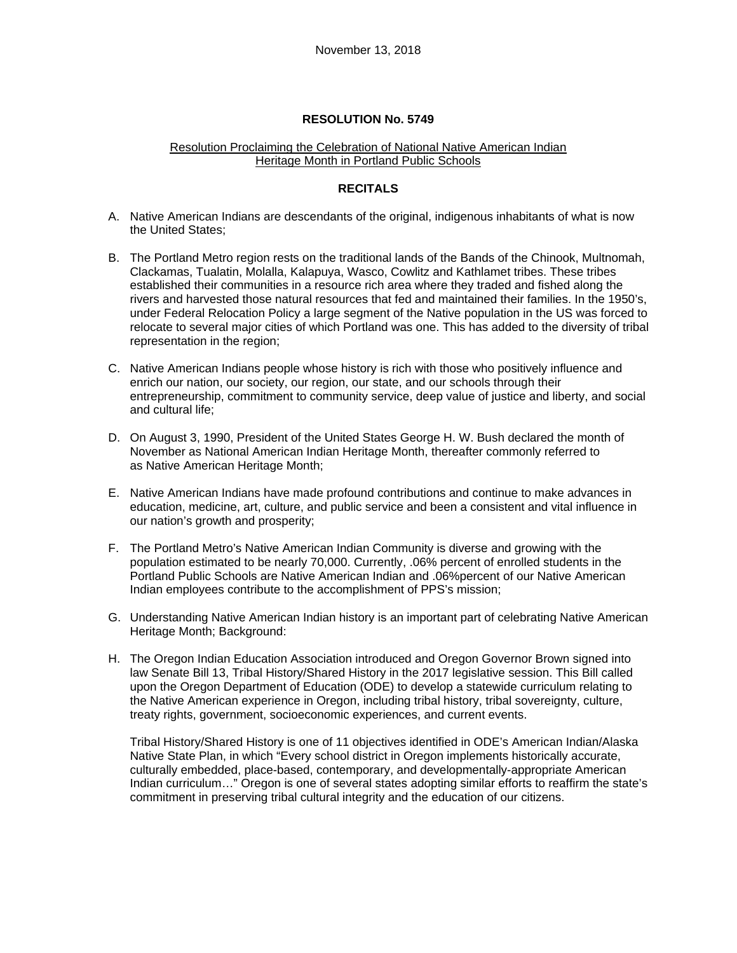### Resolution Proclaiming the Celebration of National Native American Indian Heritage Month in Portland Public Schools

### **RECITALS**

- A. Native American Indians are descendants of the original, indigenous inhabitants of what is now the United States;
- B. The Portland Metro region rests on the traditional lands of the Bands of the Chinook, Multnomah, Clackamas, Tualatin, Molalla, Kalapuya, Wasco, Cowlitz and Kathlamet tribes. These tribes established their communities in a resource rich area where they traded and fished along the rivers and harvested those natural resources that fed and maintained their families. In the 1950's, under Federal Relocation Policy a large segment of the Native population in the US was forced to relocate to several major cities of which Portland was one. This has added to the diversity of tribal representation in the region;
- C. Native American Indians people whose history is rich with those who positively influence and enrich our nation, our society, our region, our state, and our schools through their entrepreneurship, commitment to community service, deep value of justice and liberty, and social and cultural life;
- D. On August 3, 1990, President of the United States George H. W. Bush declared the month of November as National American Indian Heritage Month, thereafter commonly referred to as Native American Heritage Month;
- E. Native American Indians have made profound contributions and continue to make advances in education, medicine, art, culture, and public service and been a consistent and vital influence in our nation's growth and prosperity;
- F. The Portland Metro's Native American Indian Community is diverse and growing with the population estimated to be nearly 70,000. Currently, .06% percent of enrolled students in the Portland Public Schools are Native American Indian and .06%percent of our Native American Indian employees contribute to the accomplishment of PPS's mission;
- G. Understanding Native American Indian history is an important part of celebrating Native American Heritage Month; Background:
- H. The Oregon Indian Education Association introduced and Oregon Governor Brown signed into law Senate Bill 13, Tribal History/Shared History in the 2017 legislative session. This Bill called upon the Oregon Department of Education (ODE) to develop a statewide curriculum relating to the Native American experience in Oregon, including tribal history, tribal sovereignty, culture, treaty rights, government, socioeconomic experiences, and current events.

Tribal History/Shared History is one of 11 objectives identified in ODE's American Indian/Alaska Native State Plan, in which "Every school district in Oregon implements historically accurate, culturally embedded, place-based, contemporary, and developmentally-appropriate American Indian curriculum…" Oregon is one of several states adopting similar efforts to reaffirm the state's commitment in preserving tribal cultural integrity and the education of our citizens.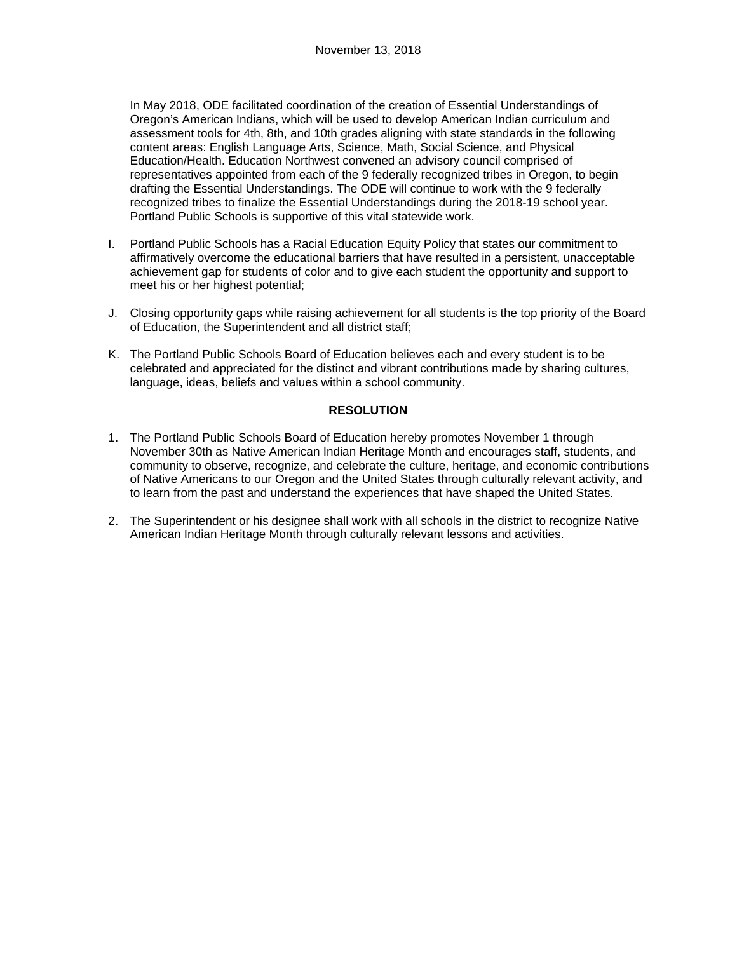In May 2018, ODE facilitated coordination of the creation of Essential Understandings of Oregon's American Indians, which will be used to develop American Indian curriculum and assessment tools for 4th, 8th, and 10th grades aligning with state standards in the following content areas: English Language Arts, Science, Math, Social Science, and Physical Education/Health. Education Northwest convened an advisory council comprised of representatives appointed from each of the 9 federally recognized tribes in Oregon, to begin drafting the Essential Understandings. The ODE will continue to work with the 9 federally recognized tribes to finalize the Essential Understandings during the 2018-19 school year. Portland Public Schools is supportive of this vital statewide work.

- I. Portland Public Schools has a Racial Education Equity Policy that states our commitment to affirmatively overcome the educational barriers that have resulted in a persistent, unacceptable achievement gap for students of color and to give each student the opportunity and support to meet his or her highest potential;
- J. Closing opportunity gaps while raising achievement for all students is the top priority of the Board of Education, the Superintendent and all district staff;
- K. The Portland Public Schools Board of Education believes each and every student is to be celebrated and appreciated for the distinct and vibrant contributions made by sharing cultures, language, ideas, beliefs and values within a school community.

# **RESOLUTION**

- 1. The Portland Public Schools Board of Education hereby promotes November 1 through November 30th as Native American Indian Heritage Month and encourages staff, students, and community to observe, recognize, and celebrate the culture, heritage, and economic contributions of Native Americans to our Oregon and the United States through culturally relevant activity, and to learn from the past and understand the experiences that have shaped the United States.
- 2. The Superintendent or his designee shall work with all schools in the district to recognize Native American Indian Heritage Month through culturally relevant lessons and activities.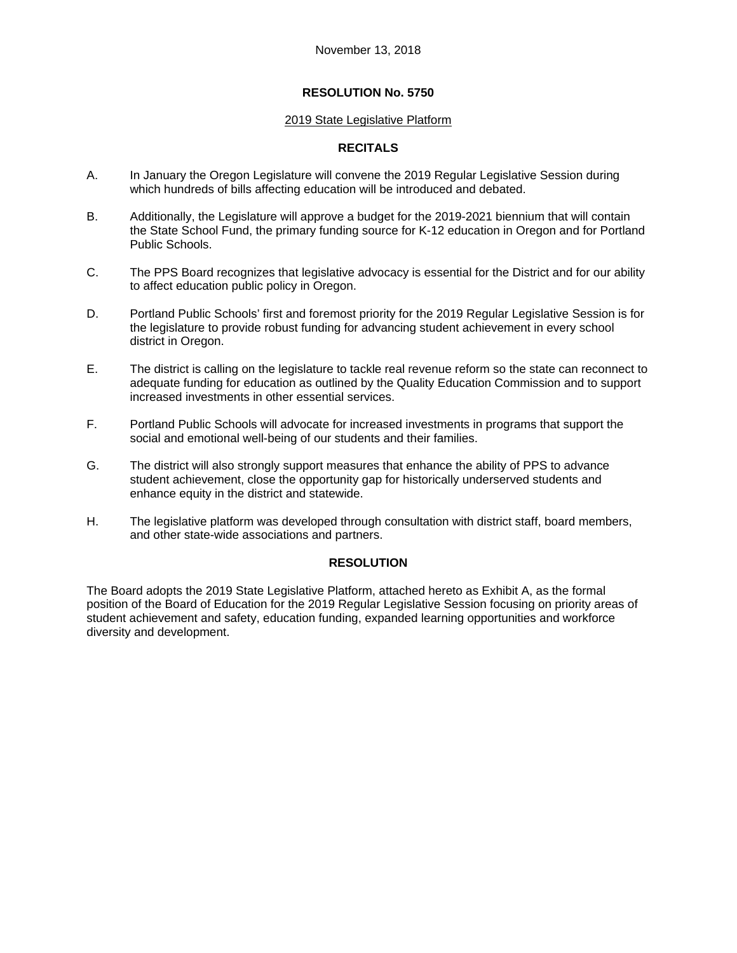#### 2019 State Legislative Platform

### **RECITALS**

- A. In January the Oregon Legislature will convene the 2019 Regular Legislative Session during which hundreds of bills affecting education will be introduced and debated.
- B. Additionally, the Legislature will approve a budget for the 2019-2021 biennium that will contain the State School Fund, the primary funding source for K-12 education in Oregon and for Portland Public Schools.
- C. The PPS Board recognizes that legislative advocacy is essential for the District and for our ability to affect education public policy in Oregon.
- D. Portland Public Schools' first and foremost priority for the 2019 Regular Legislative Session is for the legislature to provide robust funding for advancing student achievement in every school district in Oregon.
- E. The district is calling on the legislature to tackle real revenue reform so the state can reconnect to adequate funding for education as outlined by the Quality Education Commission and to support increased investments in other essential services.
- F. Portland Public Schools will advocate for increased investments in programs that support the social and emotional well-being of our students and their families.
- G. The district will also strongly support measures that enhance the ability of PPS to advance student achievement, close the opportunity gap for historically underserved students and enhance equity in the district and statewide.
- H. The legislative platform was developed through consultation with district staff, board members, and other state-wide associations and partners.

# **RESOLUTION**

The Board adopts the 2019 State Legislative Platform, attached hereto as Exhibit A, as the formal position of the Board of Education for the 2019 Regular Legislative Session focusing on priority areas of student achievement and safety, education funding, expanded learning opportunities and workforce diversity and development.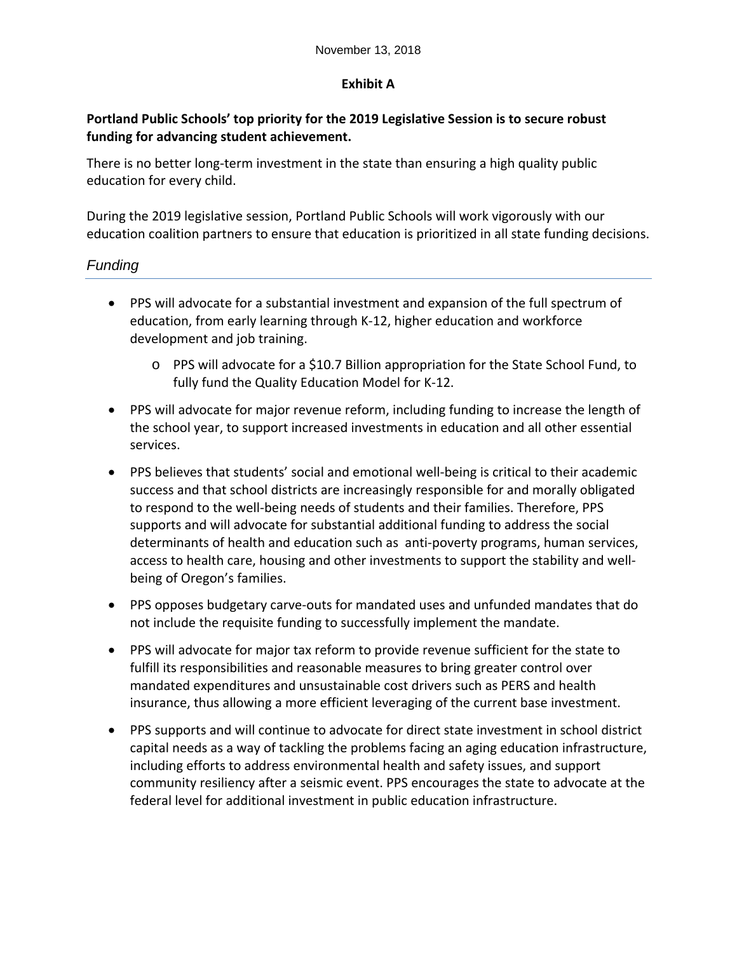# **Exhibit A**

# **Portland Public Schools' top priority for the 2019 Legislative Session is to secure robust funding for advancing student achievement.**

There is no better long-term investment in the state than ensuring a high quality public education for every child.

During the 2019 legislative session, Portland Public Schools will work vigorously with our education coalition partners to ensure that education is prioritized in all state funding decisions.

# *Funding*

- PPS will advocate for a substantial investment and expansion of the full spectrum of education, from early learning through K‐12, higher education and workforce development and job training.
	- o PPS will advocate for a \$10.7 Billion appropriation for the State School Fund, to fully fund the Quality Education Model for K‐12.
- PPS will advocate for major revenue reform, including funding to increase the length of the school year, to support increased investments in education and all other essential services.
- PPS believes that students' social and emotional well-being is critical to their academic success and that school districts are increasingly responsible for and morally obligated to respond to the well‐being needs of students and their families. Therefore, PPS supports and will advocate for substantial additional funding to address the social determinants of health and education such as anti‐poverty programs, human services, access to health care, housing and other investments to support the stability and well‐ being of Oregon's families.
- PPS opposes budgetary carve‐outs for mandated uses and unfunded mandates that do not include the requisite funding to successfully implement the mandate.
- PPS will advocate for major tax reform to provide revenue sufficient for the state to fulfill its responsibilities and reasonable measures to bring greater control over mandated expenditures and unsustainable cost drivers such as PERS and health insurance, thus allowing a more efficient leveraging of the current base investment.
- PPS supports and will continue to advocate for direct state investment in school district capital needs as a way of tackling the problems facing an aging education infrastructure, including efforts to address environmental health and safety issues, and support community resiliency after a seismic event. PPS encourages the state to advocate at the federal level for additional investment in public education infrastructure.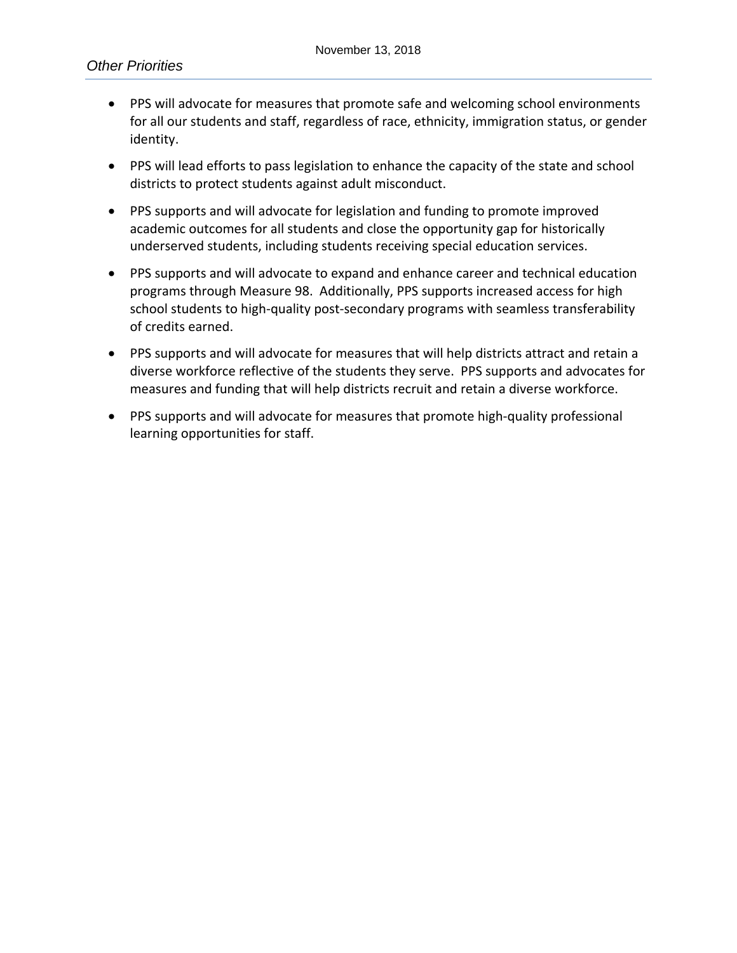- PPS will advocate for measures that promote safe and welcoming school environments for all our students and staff, regardless of race, ethnicity, immigration status, or gender identity.
- PPS will lead efforts to pass legislation to enhance the capacity of the state and school districts to protect students against adult misconduct.
- PPS supports and will advocate for legislation and funding to promote improved academic outcomes for all students and close the opportunity gap for historically underserved students, including students receiving special education services.
- PPS supports and will advocate to expand and enhance career and technical education programs through Measure 98. Additionally, PPS supports increased access for high school students to high-quality post-secondary programs with seamless transferability of credits earned.
- PPS supports and will advocate for measures that will help districts attract and retain a diverse workforce reflective of the students they serve. PPS supports and advocates for measures and funding that will help districts recruit and retain a diverse workforce.
- PPS supports and will advocate for measures that promote high-quality professional learning opportunities for staff.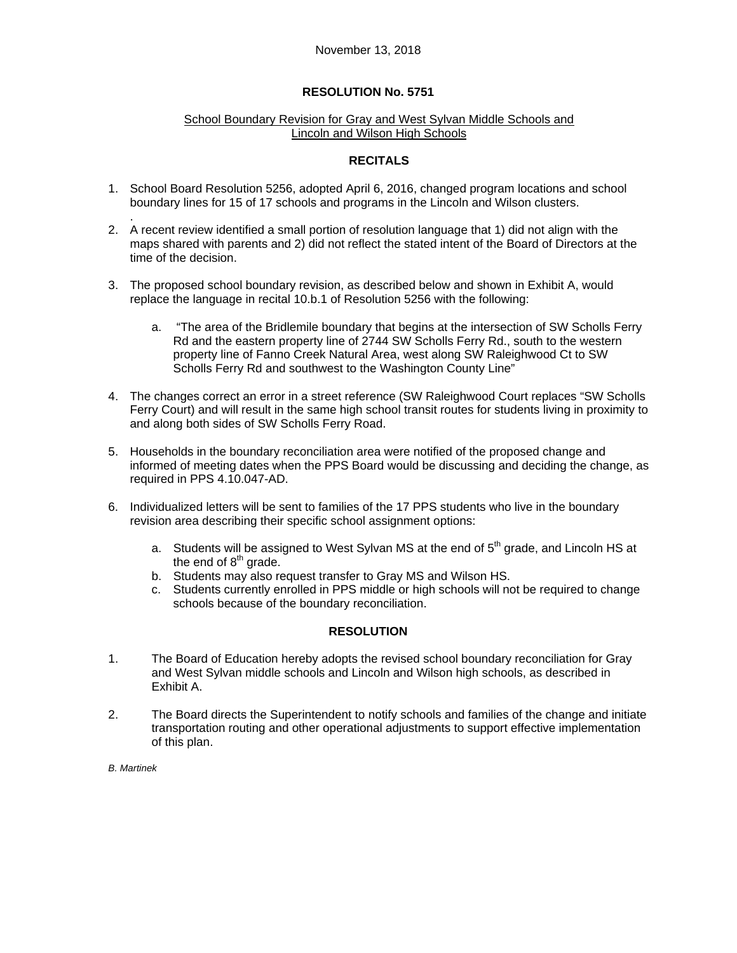### School Boundary Revision for Gray and West Sylvan Middle Schools and Lincoln and Wilson High Schools

### **RECITALS**

- 1. School Board Resolution 5256, adopted April 6, 2016, changed program locations and school boundary lines for 15 of 17 schools and programs in the Lincoln and Wilson clusters.
- . 2. A recent review identified a small portion of resolution language that 1) did not align with the maps shared with parents and 2) did not reflect the stated intent of the Board of Directors at the time of the decision.
- 3. The proposed school boundary revision, as described below and shown in Exhibit A, would replace the language in recital 10.b.1 of Resolution 5256 with the following:
	- a. "The area of the Bridlemile boundary that begins at the intersection of SW Scholls Ferry Rd and the eastern property line of 2744 SW Scholls Ferry Rd., south to the western property line of Fanno Creek Natural Area, west along SW Raleighwood Ct to SW Scholls Ferry Rd and southwest to the Washington County Line"
- 4. The changes correct an error in a street reference (SW Raleighwood Court replaces "SW Scholls Ferry Court) and will result in the same high school transit routes for students living in proximity to and along both sides of SW Scholls Ferry Road.
- 5. Households in the boundary reconciliation area were notified of the proposed change and informed of meeting dates when the PPS Board would be discussing and deciding the change, as required in PPS 4.10.047-AD.
- 6. Individualized letters will be sent to families of the 17 PPS students who live in the boundary revision area describing their specific school assignment options:
	- a. Students will be assigned to West Sylvan MS at the end of  $5<sup>th</sup>$  grade, and Lincoln HS at the end of  $8<sup>th</sup>$  grade.
	- b. Students may also request transfer to Gray MS and Wilson HS.
	- c. Students currently enrolled in PPS middle or high schools will not be required to change schools because of the boundary reconciliation.

# **RESOLUTION**

- 1. The Board of Education hereby adopts the revised school boundary reconciliation for Gray and West Sylvan middle schools and Lincoln and Wilson high schools, as described in Exhibit A.
- 2. The Board directs the Superintendent to notify schools and families of the change and initiate transportation routing and other operational adjustments to support effective implementation of this plan.

*B. Martinek*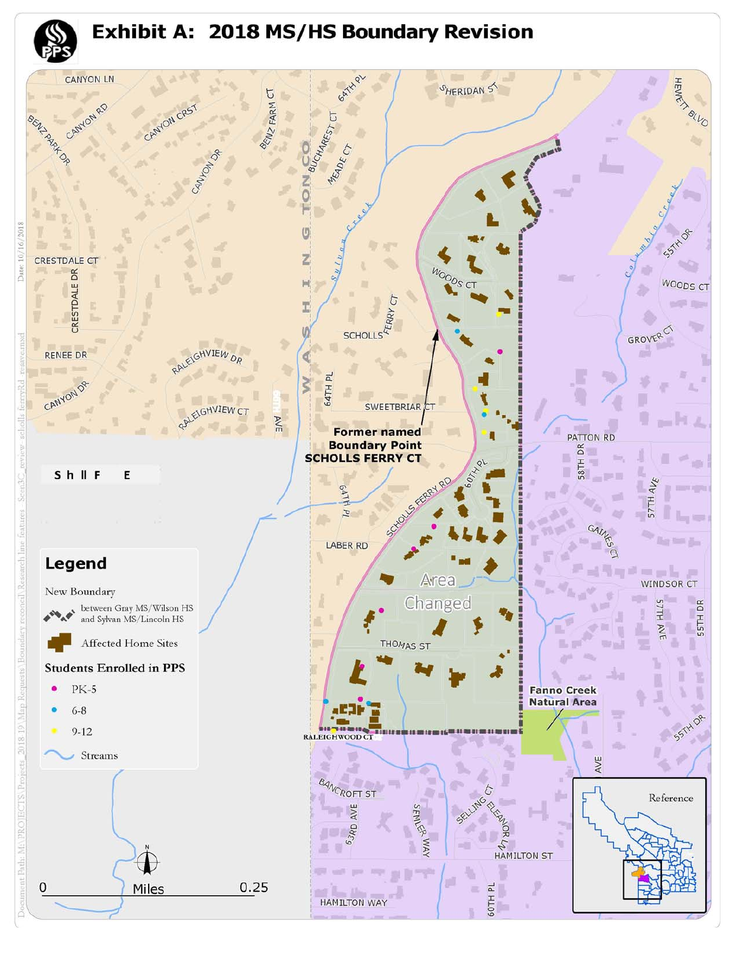

er I. **HAMILTON WAY** 

 $0.25$ 

Miles

Ω

道

60TH PL

 $\equiv$ 

 $58TH DR<sub>2</sub>$ Π 48 GAM Q al limeta a se 小川 u 三足 中国 -6

PATTON RD

**Fanno Creek Natural Area** 

感



HEWE<sup>K</sup>

PALLO

**Pro** 

SSTAL OF

WOODS CT

**SOF RE** 

ے ادا در

画

د د

55TH DR

ୖ

 $k_0 = \frac{1}{k-1}$ 

WINDSOR CT

**S7TH** 

**AVE** 

GROVER

 $AV_{\mathcal{E}}$ 

**S7TH** 

繭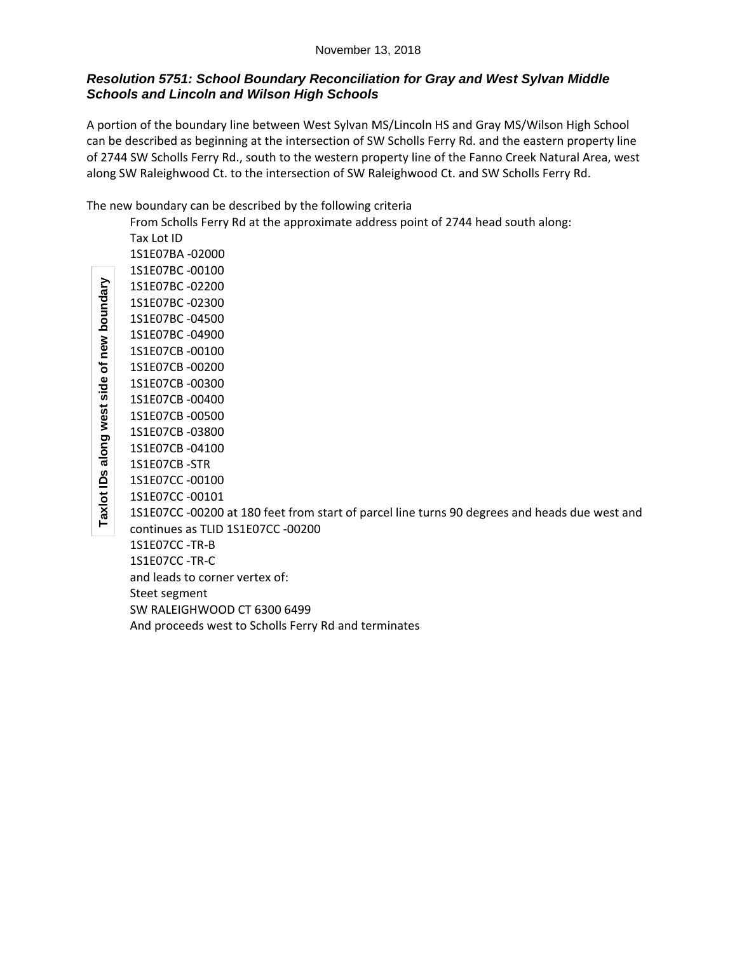### November 13, 2018

# *Resolution 5751: School Boundary Reconciliation for Gray and West Sylvan Middle Schools and Lincoln and Wilson High Schools*

A portion of the boundary line between West Sylvan MS/Lincoln HS and Gray MS/Wilson High School can be described as beginning at the intersection of SW Scholls Ferry Rd. and the eastern property line of 2744 SW Scholls Ferry Rd., south to the western property line of the Fanno Creek Natural Area, west along SW Raleighwood Ct. to the intersection of SW Raleighwood Ct. and SW Scholls Ferry Rd.

The new boundary can be described by the following criteria

From Scholls Ferry Rd at the approximate address point of 2744 head south along:  $\overline{1}$  at ID

|          | Tax Lot ID                                                                                    |
|----------|-----------------------------------------------------------------------------------------------|
|          | 1S1E07BA-02000                                                                                |
|          | 1S1E07BC-00100                                                                                |
|          | 1S1E07BC-02200                                                                                |
|          | 1S1E07BC-02300                                                                                |
| poundary | 1S1E07BC-04500                                                                                |
|          | 1S1E07BC-04900                                                                                |
| new      | 1S1E07CB-00100                                                                                |
| ৳        | 1S1E07CB-00200                                                                                |
| side     | 1S1E07CB-00300                                                                                |
|          | 1S1E07CB-00400                                                                                |
| west     | 1S1E07CB-00500                                                                                |
|          | 1S1E07CB-03800                                                                                |
| along    | 1S1E07CB-04100                                                                                |
|          | 1S1E07CB-STR                                                                                  |
| n<br>≘   | 1S1E07CC-00100                                                                                |
|          | 1S1E07CC-00101                                                                                |
| Taxlot   | 1S1E07CC -00200 at 180 feet from start of parcel line turns 90 degrees and heads due west and |
|          | continues as TLID 1S1E07CC -00200                                                             |
|          | 1S1E07CC-TR-B                                                                                 |
|          | 1S1E07CC-TR-C                                                                                 |

and leads to corner vertex of:

Steet segment

SW RALEIGHWOOD CT 6300 6499

And proceeds west to Scholls Ferry Rd and terminates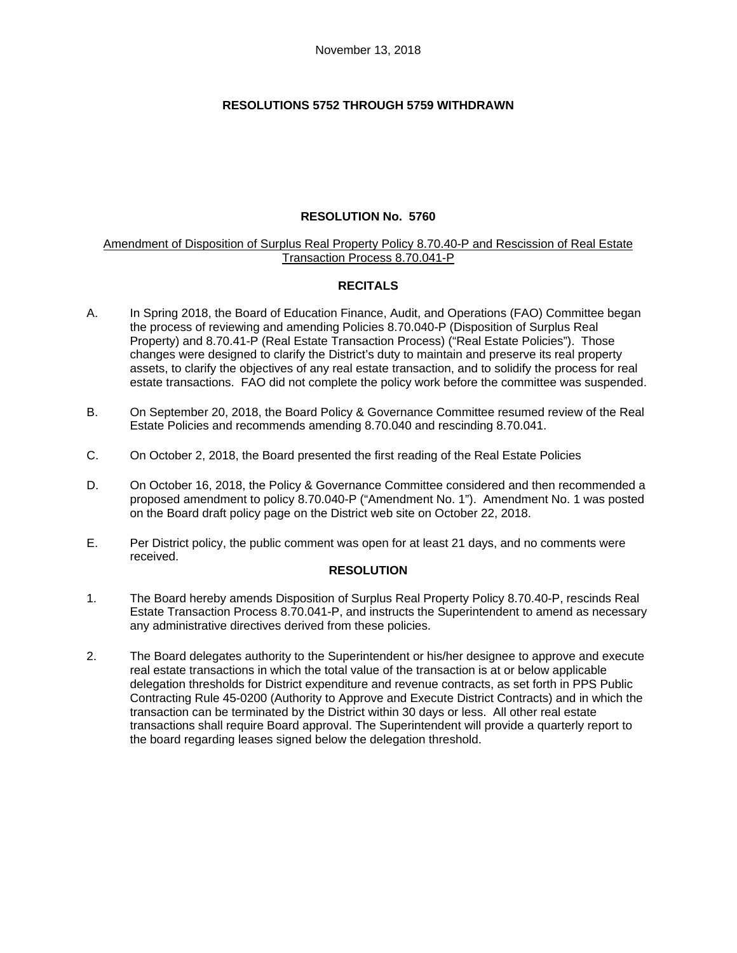# **RESOLUTIONS 5752 THROUGH 5759 WITHDRAWN**

# **RESOLUTION No. 5760**

### Amendment of Disposition of Surplus Real Property Policy 8.70.40-P and Rescission of Real Estate Transaction Process 8.70.041-P

# **RECITALS**

- A. In Spring 2018, the Board of Education Finance, Audit, and Operations (FAO) Committee began the process of reviewing and amending Policies 8.70.040-P (Disposition of Surplus Real Property) and 8.70.41-P (Real Estate Transaction Process) ("Real Estate Policies"). Those changes were designed to clarify the District's duty to maintain and preserve its real property assets, to clarify the objectives of any real estate transaction, and to solidify the process for real estate transactions. FAO did not complete the policy work before the committee was suspended.
- B. On September 20, 2018, the Board Policy & Governance Committee resumed review of the Real Estate Policies and recommends amending 8.70.040 and rescinding 8.70.041.
- C. On October 2, 2018, the Board presented the first reading of the Real Estate Policies
- D. On October 16, 2018, the Policy & Governance Committee considered and then recommended a proposed amendment to policy 8.70.040-P ("Amendment No. 1"). Amendment No. 1 was posted on the Board draft policy page on the District web site on October 22, 2018.
- E. Per District policy, the public comment was open for at least 21 days, and no comments were received.

### **RESOLUTION**

- 1. The Board hereby amends Disposition of Surplus Real Property Policy 8.70.40-P, rescinds Real Estate Transaction Process 8.70.041-P, and instructs the Superintendent to amend as necessary any administrative directives derived from these policies.
- 2. The Board delegates authority to the Superintendent or his/her designee to approve and execute real estate transactions in which the total value of the transaction is at or below applicable delegation thresholds for District expenditure and revenue contracts, as set forth in PPS Public Contracting Rule 45-0200 (Authority to Approve and Execute District Contracts) and in which the transaction can be terminated by the District within 30 days or less. All other real estate transactions shall require Board approval. The Superintendent will provide a quarterly report to the board regarding leases signed below the delegation threshold.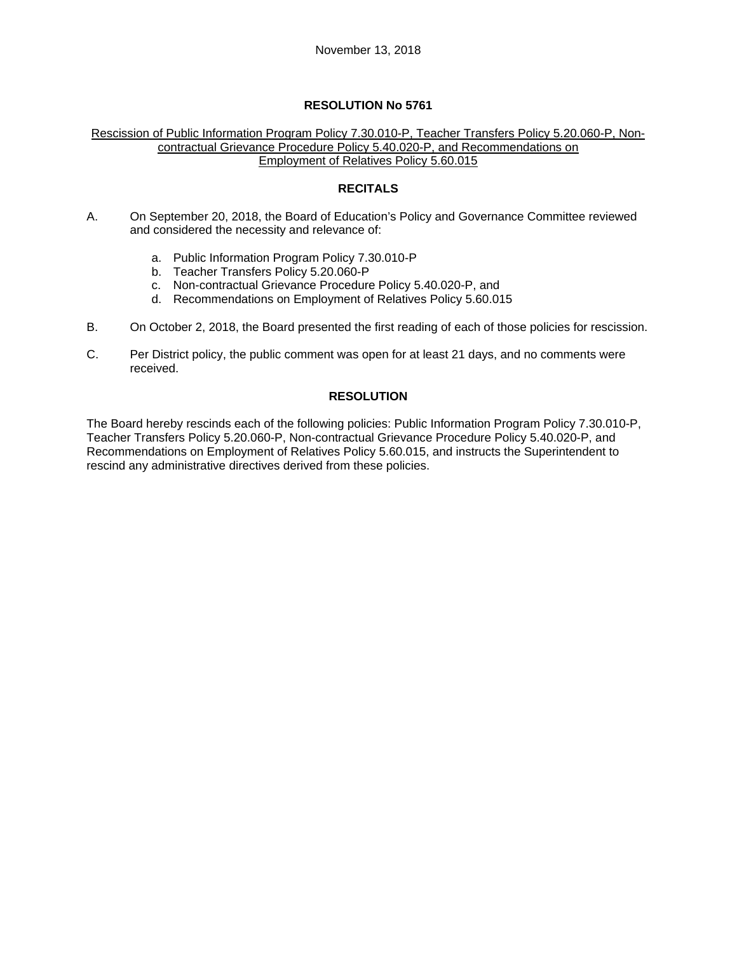#### Rescission of Public Information Program Policy 7.30.010-P, Teacher Transfers Policy 5.20.060-P, Noncontractual Grievance Procedure Policy 5.40.020-P, and Recommendations on Employment of Relatives Policy 5.60.015

# **RECITALS**

- A. On September 20, 2018, the Board of Education's Policy and Governance Committee reviewed and considered the necessity and relevance of:
	- a. Public Information Program Policy 7.30.010-P
	- b. Teacher Transfers Policy 5.20.060-P
	- c. Non-contractual Grievance Procedure Policy 5.40.020-P, and
	- d. Recommendations on Employment of Relatives Policy 5.60.015
- B. On October 2, 2018, the Board presented the first reading of each of those policies for rescission.
- C. Per District policy, the public comment was open for at least 21 days, and no comments were received.

# **RESOLUTION**

The Board hereby rescinds each of the following policies: Public Information Program Policy 7.30.010-P, Teacher Transfers Policy 5.20.060-P, Non-contractual Grievance Procedure Policy 5.40.020-P, and Recommendations on Employment of Relatives Policy 5.60.015, and instructs the Superintendent to rescind any administrative directives derived from these policies.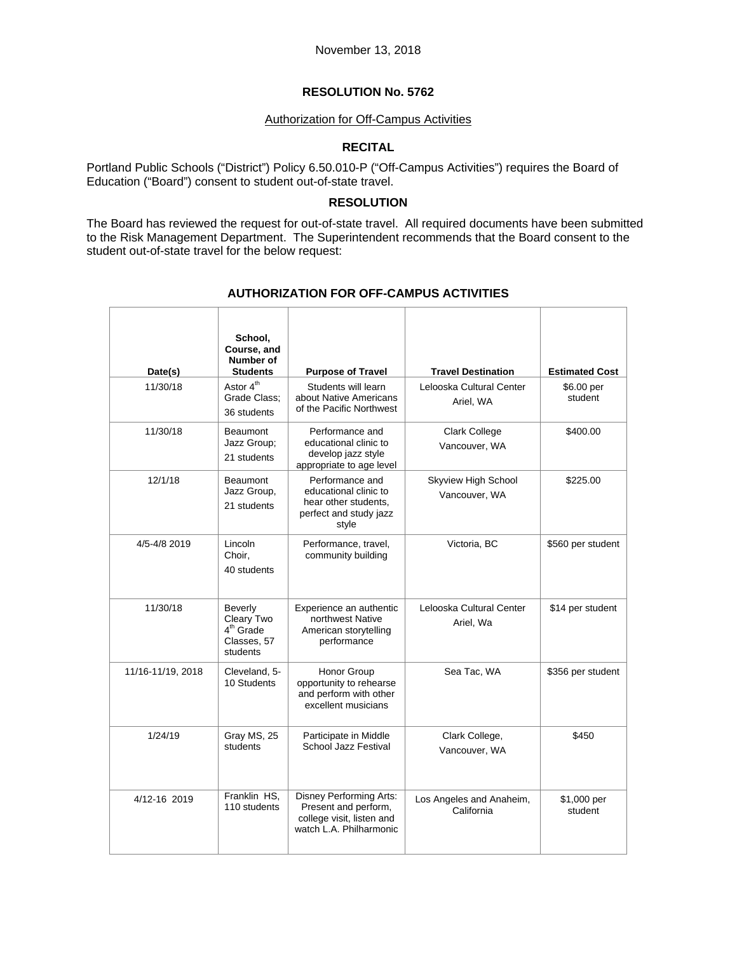### Authorization for Off-Campus Activities

# **RECITAL**

Portland Public Schools ("District") Policy 6.50.010-P ("Off-Campus Activities") requires the Board of Education ("Board") consent to student out-of-state travel.

### **RESOLUTION**

The Board has reviewed the request for out-of-state travel. All required documents have been submitted to the Risk Management Department. The Superintendent recommends that the Board consent to the student out-of-state travel for the below request:

| Date(s)           | School,<br>Course, and<br>Number of<br><b>Students</b>          | <b>Purpose of Travel</b>                                                                                       | <b>Travel Destination</b>              | <b>Estimated Cost</b>  |
|-------------------|-----------------------------------------------------------------|----------------------------------------------------------------------------------------------------------------|----------------------------------------|------------------------|
| 11/30/18          | Astor 4 <sup>th</sup><br>Grade Class:<br>36 students            | Students will learn<br>about Native Americans<br>of the Pacific Northwest                                      | Lelooska Cultural Center<br>Ariel, WA  | \$6.00 per<br>student  |
| 11/30/18          | <b>Beaumont</b><br>Jazz Group;<br>21 students                   | Performance and<br>educational clinic to<br>develop jazz style<br>appropriate to age level                     | <b>Clark College</b><br>Vancouver, WA  | \$400.00               |
| 12/1/18           | <b>Beaumont</b><br>Jazz Group,<br>21 students                   | Performance and<br>educational clinic to<br>hear other students.<br>perfect and study jazz<br>style            | Skyview High School<br>Vancouver, WA   | \$225.00               |
| 4/5-4/8 2019      | Lincoln<br>Choir,<br>40 students                                | Performance, travel,<br>community building                                                                     | Victoria, BC                           | \$560 per student      |
| 11/30/18          | Beverly<br>Cleary Two<br>$4th$ Grade<br>Classes, 57<br>students | Experience an authentic<br>northwest Native<br>American storytelling<br>performance                            | Lelooska Cultural Center<br>Ariel, Wa  | \$14 per student       |
| 11/16-11/19, 2018 | Cleveland, 5-<br>10 Students                                    | Honor Group<br>opportunity to rehearse<br>and perform with other<br>excellent musicians                        | Sea Tac, WA                            | \$356 per student      |
| 1/24/19           | Gray MS, 25<br>students                                         | Participate in Middle<br>School Jazz Festival                                                                  | Clark College,<br>Vancouver, WA        | \$450                  |
| 4/12-16 2019      | Franklin HS.<br>110 students                                    | <b>Disney Performing Arts:</b><br>Present and perform,<br>college visit, listen and<br>watch L.A. Philharmonic | Los Angeles and Anaheim,<br>California | \$1,000 per<br>student |

# **AUTHORIZATION FOR OFF-CAMPUS ACTIVITIES**